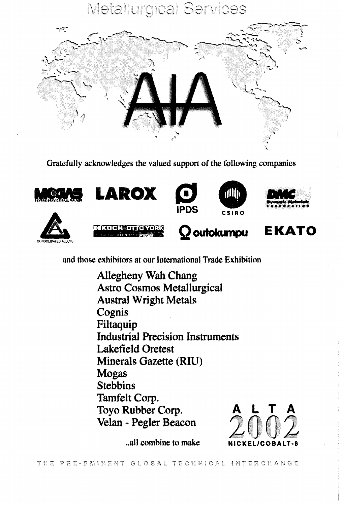## **Metallurgical Services**



Gratefully acknowledges the valued support of the following companies





















and those exhibitors at our International Trade Exhibition

Allegheny Wah Chang **Astro Cosmos Metallurgical Austral Wright Metals** Cognis Filtaquip **Industrial Precision Instruments Lakefield Oretest** Minerals Gazette (RIU) **Mogas Stebbins** Tamfelt Corp. Toyo Rubber Corp. Velan - Pegler Beacon



..all combine to make